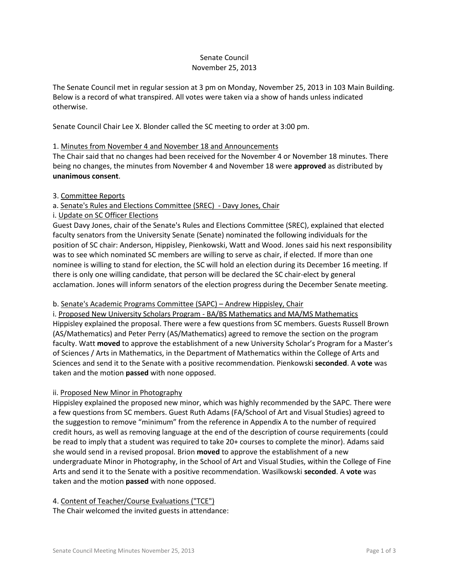## Senate Council November 25, 2013

The Senate Council met in regular session at 3 pm on Monday, November 25, 2013 in 103 Main Building. Below is a record of what transpired. All votes were taken via a show of hands unless indicated otherwise.

Senate Council Chair Lee X. Blonder called the SC meeting to order at 3:00 pm.

## 1. Minutes from November 4 and November 18 and Announcements

The Chair said that no changes had been received for the November 4 or November 18 minutes. There being no changes, the minutes from November 4 and November 18 were **approved** as distributed by **unanimous consent**.

## 3. Committee Reports

## a. Senate's Rules and Elections Committee (SREC) - Davy Jones, Chair

i. Update on SC Officer Elections

Guest Davy Jones, chair of the Senate's Rules and Elections Committee (SREC), explained that elected faculty senators from the University Senate (Senate) nominated the following individuals for the position of SC chair: Anderson, Hippisley, Pienkowski, Watt and Wood. Jones said his next responsibility was to see which nominated SC members are willing to serve as chair, if elected. If more than one nominee is willing to stand for election, the SC will hold an election during its December 16 meeting. If there is only one willing candidate, that person will be declared the SC chair-elect by general acclamation. Jones will inform senators of the election progress during the December Senate meeting.

# b. Senate's Academic Programs Committee (SAPC) – Andrew Hippisley, Chair

i. Proposed New University Scholars Program - BA/BS Mathematics and MA/MS Mathematics Hippisley explained the proposal. There were a few questions from SC members. Guests Russell Brown (AS/Mathematics) and Peter Perry (AS/Mathematics) agreed to remove the section on the program faculty. Watt **moved** to approve the establishment of a new University Scholar's Program for a Master's of Sciences / Arts in Mathematics, in the Department of Mathematics within the College of Arts and Sciences and send it to the Senate with a positive recommendation. Pienkowski **seconded**. A **vote** was taken and the motion **passed** with none opposed.

# ii. Proposed New Minor in Photography

Hippisley explained the proposed new minor, which was highly recommended by the SAPC. There were a few questions from SC members. Guest Ruth Adams (FA/School of Art and Visual Studies) agreed to the suggestion to remove "minimum" from the reference in Appendix A to the number of required credit hours, as well as removing language at the end of the description of course requirements (could be read to imply that a student was required to take 20+ courses to complete the minor). Adams said she would send in a revised proposal. Brion **moved** to approve the establishment of a new undergraduate Minor in Photography, in the School of Art and Visual Studies, within the College of Fine Arts and send it to the Senate with a positive recommendation. Wasilkowski **seconded**. A **vote** was taken and the motion **passed** with none opposed.

#### 4. Content of Teacher/Course Evaluations ("TCE")

The Chair welcomed the invited guests in attendance: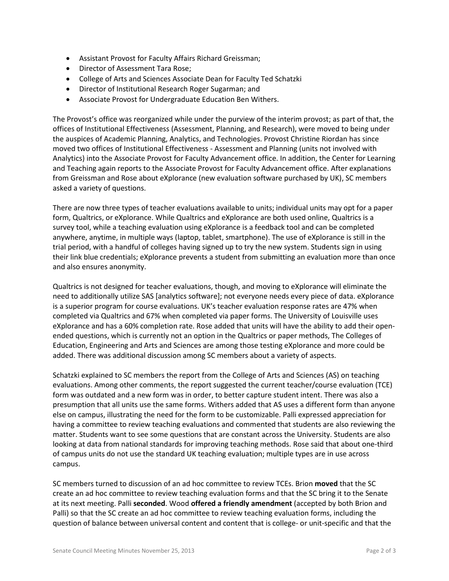- Assistant Provost for Faculty Affairs Richard Greissman;
- Director of Assessment Tara Rose;
- College of Arts and Sciences Associate Dean for Faculty Ted Schatzki
- Director of Institutional Research Roger Sugarman; and
- Associate Provost for Undergraduate Education Ben Withers.

The Provost's office was reorganized while under the purview of the interim provost; as part of that, the offices of Institutional Effectiveness (Assessment, Planning, and Research), were moved to being under the auspices of Academic Planning, Analytics, and Technologies. Provost Christine Riordan has since moved two offices of Institutional Effectiveness - Assessment and Planning (units not involved with Analytics) into the Associate Provost for Faculty Advancement office. In addition, the Center for Learning and Teaching again reports to the Associate Provost for Faculty Advancement office. After explanations from Greissman and Rose about eXplorance (new evaluation software purchased by UK), SC members asked a variety of questions.

There are now three types of teacher evaluations available to units; individual units may opt for a paper form, Qualtrics, or eXplorance. While Qualtrics and eXplorance are both used online, Qualtrics is a survey tool, while a teaching evaluation using eXplorance is a feedback tool and can be completed anywhere, anytime, in multiple ways (laptop, tablet, smartphone). The use of eXplorance is still in the trial period, with a handful of colleges having signed up to try the new system. Students sign in using their link blue credentials; eXplorance prevents a student from submitting an evaluation more than once and also ensures anonymity.

Qualtrics is not designed for teacher evaluations, though, and moving to eXplorance will eliminate the need to additionally utilize SAS [analytics software]; not everyone needs every piece of data. eXplorance is a superior program for course evaluations. UK's teacher evaluation response rates are 47% when completed via Qualtrics and 67% when completed via paper forms. The University of Louisville uses eXplorance and has a 60% completion rate. Rose added that units will have the ability to add their openended questions, which is currently not an option in the Qualtrics or paper methods, The Colleges of Education, Engineering and Arts and Sciences are among those testing eXplorance and more could be added. There was additional discussion among SC members about a variety of aspects.

Schatzki explained to SC members the report from the College of Arts and Sciences (AS) on teaching evaluations. Among other comments, the report suggested the current teacher/course evaluation (TCE) form was outdated and a new form was in order, to better capture student intent. There was also a presumption that all units use the same forms. Withers added that AS uses a different form than anyone else on campus, illustrating the need for the form to be customizable. Palli expressed appreciation for having a committee to review teaching evaluations and commented that students are also reviewing the matter. Students want to see some questions that are constant across the University. Students are also looking at data from national standards for improving teaching methods. Rose said that about one-third of campus units do not use the standard UK teaching evaluation; multiple types are in use across campus.

SC members turned to discussion of an ad hoc committee to review TCEs. Brion **moved** that the SC create an ad hoc committee to review teaching evaluation forms and that the SC bring it to the Senate at its next meeting. Palli **seconded**. Wood **offered a friendly amendment** (accepted by both Brion and Palli) so that the SC create an ad hoc committee to review teaching evaluation forms, including the question of balance between universal content and content that is college- or unit-specific and that the